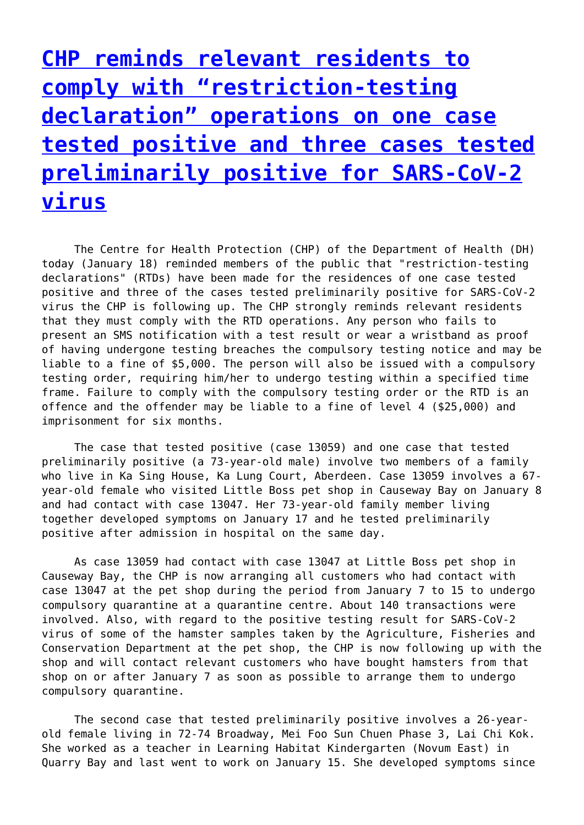**[CHP reminds relevant residents to](http://www.government-world.com/chp-reminds-relevant-residents-to-comply-with-restriction-testing-declaration-operations-on-one-case-tested-positive-and-three-cases-tested-preliminarily-positive-for-sars-cov-2-virus/) [comply with "restriction-testing](http://www.government-world.com/chp-reminds-relevant-residents-to-comply-with-restriction-testing-declaration-operations-on-one-case-tested-positive-and-three-cases-tested-preliminarily-positive-for-sars-cov-2-virus/) [declaration" operations on one case](http://www.government-world.com/chp-reminds-relevant-residents-to-comply-with-restriction-testing-declaration-operations-on-one-case-tested-positive-and-three-cases-tested-preliminarily-positive-for-sars-cov-2-virus/) [tested positive and three cases tested](http://www.government-world.com/chp-reminds-relevant-residents-to-comply-with-restriction-testing-declaration-operations-on-one-case-tested-positive-and-three-cases-tested-preliminarily-positive-for-sars-cov-2-virus/) [preliminarily positive for SARS-CoV-2](http://www.government-world.com/chp-reminds-relevant-residents-to-comply-with-restriction-testing-declaration-operations-on-one-case-tested-positive-and-three-cases-tested-preliminarily-positive-for-sars-cov-2-virus/) [virus](http://www.government-world.com/chp-reminds-relevant-residents-to-comply-with-restriction-testing-declaration-operations-on-one-case-tested-positive-and-three-cases-tested-preliminarily-positive-for-sars-cov-2-virus/)**

 The Centre for Health Protection (CHP) of the Department of Health (DH) today (January 18) reminded members of the public that "restriction-testing declarations" (RTDs) have been made for the residences of one case tested positive and three of the cases tested preliminarily positive for SARS-CoV-2 virus the CHP is following up. The CHP strongly reminds relevant residents that they must comply with the RTD operations. Any person who fails to present an SMS notification with a test result or wear a wristband as proof of having undergone testing breaches the compulsory testing notice and may be liable to a fine of \$5,000. The person will also be issued with a compulsory testing order, requiring him/her to undergo testing within a specified time frame. Failure to comply with the compulsory testing order or the RTD is an offence and the offender may be liable to a fine of level 4 (\$25,000) and imprisonment for six months.

 The case that tested positive (case 13059) and one case that tested preliminarily positive (a 73-year-old male) involve two members of a family who live in Ka Sing House, Ka Lung Court, Aberdeen. Case 13059 involves a 67 year-old female who visited Little Boss pet shop in Causeway Bay on January 8 and had contact with case 13047. Her 73-year-old family member living together developed symptoms on January 17 and he tested preliminarily positive after admission in hospital on the same day.

 As case 13059 had contact with case 13047 at Little Boss pet shop in Causeway Bay, the CHP is now arranging all customers who had contact with case 13047 at the pet shop during the period from January 7 to 15 to undergo compulsory quarantine at a quarantine centre. About 140 transactions were involved. Also, with regard to the positive testing result for SARS-CoV-2 virus of some of the hamster samples taken by the Agriculture, Fisheries and Conservation Department at the pet shop, the CHP is now following up with the shop and will contact relevant customers who have bought hamsters from that shop on or after January 7 as soon as possible to arrange them to undergo compulsory quarantine.

 The second case that tested preliminarily positive involves a 26-yearold female living in 72-74 Broadway, Mei Foo Sun Chuen Phase 3, Lai Chi Kok. She worked as a teacher in Learning Habitat Kindergarten (Novum East) in Quarry Bay and last went to work on January 15. She developed symptoms since